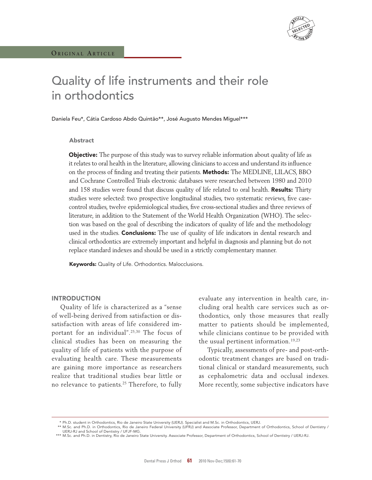# Quality of life instruments and their role in orthodontics

Daniela Feu\*, Cátia Cardoso Abdo Quintão\*\*, José Augusto Mendes Miguel\*\*\*

## Abstract

**Objective:** The purpose of this study was to survey reliable information about quality of life as it relates to oral health in the literature, allowing clinicians to access and understand its influence on the process of finding and treating their patients. Methods: The MEDLINE, LILACS, BBO and Cochrane Controlled Trials electronic databases were researched between 1980 and 2010 and 158 studies were found that discuss quality of life related to oral health. Results: Thirty studies were selected: two prospective longitudinal studies, two systematic reviews, five casecontrol studies, twelve epidemiological studies, five cross-sectional studies and three reviews of literature, in addition to the Statement of the World Health Organization (WHO). The selection was based on the goal of describing the indicators of quality of life and the methodology used in the studies. Conclusions: The use of quality of life indicators in dental research and clinical orthodontics are extremely important and helpful in diagnosis and planning but do not replace standard indexes and should be used in a strictly complementary manner.

Keywords: Quality of Life. Orthodontics. Malocclusions.

## INTRODUCTION

Quality of life is characterized as a "sense of well-being derived from satisfaction or dissatisfaction with areas of life considered important for an individual".25,30 The focus of clinical studies has been on measuring the quality of life of patients with the purpose of evaluating health care. These measurements are gaining more importance as researchers realize that traditional studies bear little or no relevance to patients.<sup>25</sup> Therefore, to fully

evaluate any intervention in health care, including oral health care services such as orthodontics, only those measures that really matter to patients should be implemented, while clinicians continue to be provided with the usual pertinent information.19,23

Typically, assessments of pre- and post-orthodontic treatment changes are based on traditional clinical or standard measurements, such as cephalometric data and occlusal indexes. More recently, some subjective indicators have

Ph.D. student in Orthodontics, Rio de Janeiro State University (UERJ). Specialist and M.Sc. in Orthodontics, UERJ. \*\* M.Sc. and Ph.D. in Orthodontics, Rio de Janeiro Federal University (UFRJ) and Associate Professor, Department of Orthodontics, School of Dentistry /

UERJ-RJ and School of Dentistry / UFJF-MG.

<sup>\*\*\*</sup> M.Sc. and Ph.D. in Dentistry, Rio de Janeiro State University. Associate Professor, Department of Orthodontics, School of Dentistry / UERJ-RJ.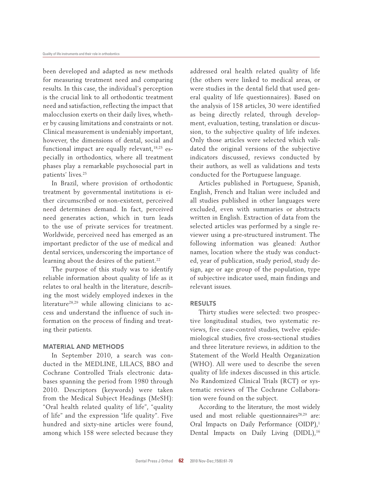been developed and adapted as new methods for measuring treatment need and comparing results. In this case, the individual's perception is the crucial link to all orthodontic treatment need and satisfaction, reflecting the impact that malocclusion exerts on their daily lives, whether by causing limitations and constraints or not. Clinical measurement is undeniably important, however, the dimensions of dental, social and functional impact are equally relevant,  $18,25$  especially in orthodontics, where all treatment phases play a remarkable psychosocial part in patients' lives.<sup>25</sup>

In Brazil, where provision of orthodontic treatment by governmental institutions is either circumscribed or non-existent, perceived need determines demand. In fact, perceived need generates action, which in turn leads to the use of private services for treatment. Worldwide, perceived need has emerged as an important predictor of the use of medical and dental services, underscoring the importance of learning about the desires of the patient.<sup>22</sup>

The purpose of this study was to identify reliable information about quality of life as it relates to oral health in the literature, describing the most widely employed indexes in the literature28,29 while allowing clinicians to access and understand the influence of such information on the process of finding and treating their patients.

# MATERIAL AND METHODS

In September 2010, a search was conducted in the MEDLINE, LILACS, BBO and Cochrane Controlled Trials electronic databases spanning the period from 1980 through 2010. Descriptors (keywords) were taken from the Medical Subject Headings (MeSH): "Oral health related quality of life", "quality of life" and the expression "life quality". Five hundred and sixty-nine articles were found, among which 158 were selected because they addressed oral health related quality of life (the others were linked to medical areas, or were studies in the dental field that used general quality of life questionnaires). Based on the analysis of 158 articles, 30 were identified as being directly related, through development, evaluation, testing, translation or discussion, to the subjective quality of life indexes. Only those articles were selected which validated the original versions of the subjective indicators discussed, reviews conducted by their authors, as well as validations and tests conducted for the Portuguese language.

Articles published in Portuguese, Spanish, English, French and Italian were included and all studies published in other languages were excluded, even with summaries or abstracts written in English. Extraction of data from the selected articles was performed by a single reviewer using a pre-structured instrument. The following information was gleaned: Author names, location where the study was conducted, year of publication, study period, study design, age or age group of the population, type of subjective indicator used, main findings and relevant issues.

## RESULTS

Thirty studies were selected: two prospective longitudinal studies, two systematic reviews, five case-control studies, twelve epidemiological studies, five cross-sectional studies and three literature reviews, in addition to the Statement of the World Health Organization (WHO). All were used to describe the seven quality of life indexes discussed in this article. No Randomized Clinical Trials (RCT) or systematic reviews of The Cochrane Collaboration were found on the subject.

According to the literature, the most widely used and most reliable questionnaires $28,29$  are: Oral Impacts on Daily Performance (OIDP),<sup>1</sup> Dental Impacts on Daily Living (DIDL),<sup>16</sup>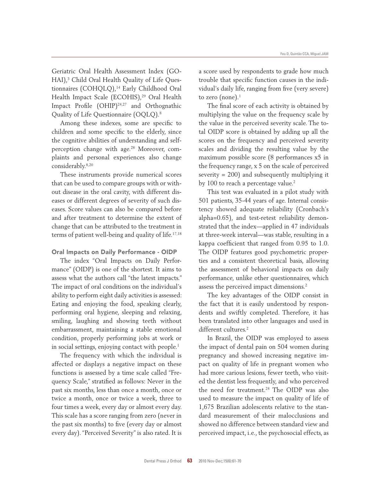Geriatric Oral Health Assessment Index (GO-HAI),<sup>3</sup> Child Oral Health Quality of Life Questionnaires (COHQLQ),<sup>14</sup> Early Childhood Oral Health Impact Scale (ECOHIS),<sup>29</sup> Oral Health Impact Profile (OHIP)24,27 and Orthognathic Quality of Life Questionnaire (OQLQ).<sup>8</sup>

Among these indexes, some are specific to children and some specific to the elderly, since the cognitive abilities of understanding and selfperception change with age.28 Moreover, complaints and personal experiences also change considerably.8,20

These instruments provide numerical scores that can be used to compare groups with or without disease in the oral cavity, with different diseases or different degrees of severity of such diseases. Score values can also be compared before and after treatment to determine the extent of change that can be attributed to the treatment in terms of patient well-being and quality of life.17,18

## Oral Impacts on Daily Performance - OIDP

The index "Oral Impacts on Daily Performance" (OIDP) is one of the shortest. It aims to assess what the authors call "the latest impacts." The impact of oral conditions on the individual's ability to perform eight daily activities is assessed: Eating and enjoying the food, speaking clearly, performing oral hygiene, sleeping and relaxing, smiling, laughing and showing teeth without embarrassment, maintaining a stable emotional condition, properly performing jobs at work or in social settings, enjoying contact with people.<sup>1</sup>

The frequency with which the individual is affected or displays a negative impact on these functions is assessed by a time scale called "Frequency Scale," stratified as follows: Never in the past six months, less than once a month, once or twice a month, once or twice a week, three to four times a week, every day or almost every day. This scale has a score ranging from zero (never in the past six months) to five (every day or almost every day). "Perceived Severity" is also rated. It is

a score used by respondents to grade how much trouble that specific function causes in the individual's daily life, ranging from five (very severe) to zero (none). $<sup>1</sup>$ </sup>

The final score of each activity is obtained by multiplying the value on the frequency scale by the value in the perceived severity scale. The total OIDP score is obtained by adding up all the scores on the frequency and perceived severity scales and dividing the resulting value by the maximum possible score (8 performances x5 in the frequency range, x 5 on the scale of perceived severity = 200) and subsequently multiplying it by 100 to reach a percentage value.<sup>2</sup>

This test was evaluated in a pilot study with 501 patients, 35-44 years of age. Internal consistency showed adequate reliability (Cronbach's alpha=0.65), and test-retest reliability demonstrated that the index—applied in 47 individuals at three-week interval—was stable, resulting in a kappa coefficient that ranged from 0.95 to 1.0. The OIDP features good psychometric properties and a consistent theoretical basis, allowing the assessment of behavioral impacts on daily performance, unlike other questionnaires, which assess the perceived impact dimensions.<sup>2</sup>

The key advantages of the OIDP consist in the fact that it is easily understood by respondents and swiftly completed. Therefore, it has been translated into other languages and used in different cultures.<sup>2</sup>

In Brazil, the OIDP was employed to assess the impact of dental pain on 504 women during pregnancy and showed increasing negative impact on quality of life in pregnant women who had more carious lesions, fewer teeth, who visited the dentist less frequently, and who perceived the need for treatment.<sup>24</sup> The OIDP was also used to measure the impact on quality of life of 1,675 Brazilian adolescents relative to the standard measurement of their malocclusions and showed no difference between standard view and perceived impact, i.e., the psychosocial effects, as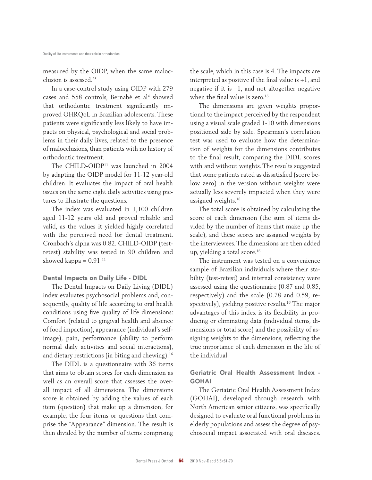measured by the OIDP, when the same malocclusion is assessed.<sup>25</sup>

In a case-control study using OIDP with 279 cases and 558 controls, Bernabé et al<sup>4</sup> showed that orthodontic treatment significantly improved OHRQoL in Brazilian adolescents. These patients were significantly less likely to have impacts on physical, psychological and social problems in their daily lives, related to the presence of malocclusions, than patients with no history of orthodontic treatment.

The CHILD-OIDP<sup>11</sup> was launched in 2004 by adapting the OIDP model for 11-12 year-old children. It evaluates the impact of oral health issues on the same eight daily activities using pictures to illustrate the questions.

The index was evaluated in 1,100 children aged 11-12 years old and proved reliable and valid, as the values it yielded highly correlated with the perceived need for dental treatment. Cronbach's alpha was 0.82. CHILD-OIDP (testretest) stability was tested in 90 children and showed kappa =  $0.91$ .<sup>11</sup>

## Dental Impacts on Daily Life - DIDL

The Dental Impacts on Daily Living (DIDL) index evaluates psychosocial problems and, consequently, quality of life according to oral health conditions using five quality of life dimensions: Comfort (related to gingival health and absence of food impaction), appearance (individual's selfimage), pain, performance (ability to perform normal daily activities and social interactions), and dietary restrictions (in biting and chewing).<sup>16</sup>

The DIDL is a questionnaire with 36 items that aims to obtain scores for each dimension as well as an overall score that assesses the overall impact of all dimensions. The dimensions score is obtained by adding the values of each item (question) that make up a dimension, for example, the four items or questions that comprise the "Appearance" dimension. The result is then divided by the number of items comprising the scale, which in this case is 4. The impacts are interpreted as positive if the final value is +1, and negative if it is  $-1$ , and not altogether negative when the final value is zero.<sup>16</sup>

The dimensions are given weights proportional to the impact perceived by the respondent using a visual scale graded 1-10 with dimensions positioned side by side. Spearman's correlation test was used to evaluate how the determination of weights for the dimensions contributes to the final result, comparing the DIDL scores with and without weights. The results suggested that some patients rated as dissatisfied (score below zero) in the version without weights were actually less severely impacted when they were assigned weights.<sup>16</sup>

The total score is obtained by calculating the score of each dimension (the sum of items divided by the number of items that make up the scale), and these scores are assigned weights by the interviewees. The dimensions are then added up, yielding a total score.<sup>16</sup>

The instrument was tested on a convenience sample of Brazilian individuals where their stability (test-retest) and internal consistency were assessed using the questionnaire (0.87 and 0.85, respectively) and the scale (0.78 and 0.59, respectively), yielding positive results.<sup>16</sup> The major advantages of this index is its flexibility in producing or eliminating data (individual items, dimensions or total score) and the possibility of assigning weights to the dimensions, reflecting the true importance of each dimension in the life of the individual.

# Geriatric Oral Health Assessment Index - **GOHAI**

The Geriatric Oral Health Assessment Index (GOHAI), developed through research with North American senior citizens, was specifically designed to evaluate oral functional problems in elderly populations and assess the degree of psychosocial impact associated with oral diseases.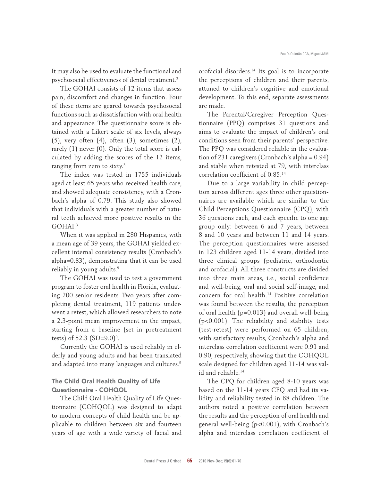It may also be used to evaluate the functional and psychosocial effectiveness of dental treatment.<sup>3</sup>

The GOHAI consists of 12 items that assess pain, discomfort and changes in function. Four of these items are geared towards psychosocial functions such as dissatisfaction with oral health and appearance. The questionnaire score is obtained with a Likert scale of six levels, always (5), very often (4), often (3), sometimes (2), rarely (1) never (0). Only the total score is calculated by adding the scores of the 12 items, ranging from zero to sixty.<sup>3</sup>

The index was tested in 1755 individuals aged at least 65 years who received health care, and showed adequate consistency, with a Cronbach's alpha of 0.79. This study also showed that individuals with a greater number of natural teeth achieved more positive results in the GOHAI.<sup>3</sup>

When it was applied in 280 Hispanics, with a mean age of 39 years, the GOHAI yielded excellent internal consistency results (Cronbach's alpha=0.83), demonstrating that it can be used reliably in young adults.<sup>9</sup>

The GOHAI was used to test a government program to foster oral health in Florida, evaluating 200 senior residents. Two years after completing dental treatment, 119 patients underwent a retest, which allowed researchers to note a 2.3-point mean improvement in the impact, starting from a baseline (set in pretreatment tests) of 52.3  $(SD=9.0)^9$ .

Currently the GOHAI is used reliably in elderly and young adults and has been translated and adapted into many languages and cultures.<sup>9</sup>

# The Child Oral Health Quality of Life Questionnaire - COHQOL

The Child Oral Health Quality of Life Questionnaire (COHQOL) was designed to adapt to modern concepts of child health and be applicable to children between six and fourteen years of age with a wide variety of facial and

orofacial disorders.<sup>14</sup> Its goal is to incorporate the perceptions of children and their parents, attuned to children's cognitive and emotional development. To this end, separate assessments are made.

The Parental/Caregiver Perception Questionnaire (PPQ) comprises 31 questions and aims to evaluate the impact of children's oral conditions seen from their parents' perspective. The PPQ was considered reliable in the evaluation of 231 caregivers (Cronbach's alpha = 0.94) and stable when retested at 79, with interclass correlation coefficient of 0.85.<sup>14</sup>

Due to a large variability in child perception across different ages three other questionnaires are available which are similar to the Child Perceptions Questionnaire (CPQ), with 36 questions each, and each specific to one age group only: between 6 and 7 years, between 8 and 10 years and between 11 and 14 years. The perception questionnaires were assessed in 123 children aged 11-14 years, divided into three clinical groups (pediatric, orthodontic and orofacial). All three constructs are divided into three main areas, i.e., social confidence and well-being, oral and social self-image, and concern for oral health.<sup>14</sup> Positive correlation was found between the results, the perception of oral health (p=0.013) and overall well-being (p<0.001). The reliability and stability tests (test-retest) were performed on 65 children, with satisfactory results, Cronbach's alpha and interclass correlation coefficient were 0.91 and 0.90, respectively, showing that the COHQOL scale designed for children aged 11-14 was valid and reliable.<sup>14</sup>

The CPQ for children aged 8-10 years was based on the 11-14 years CPQ and had its validity and reliability tested in 68 children. The authors noted a positive correlation between the results and the perception of oral health and general well-being (p<0.001), with Cronbach's alpha and interclass correlation coefficient of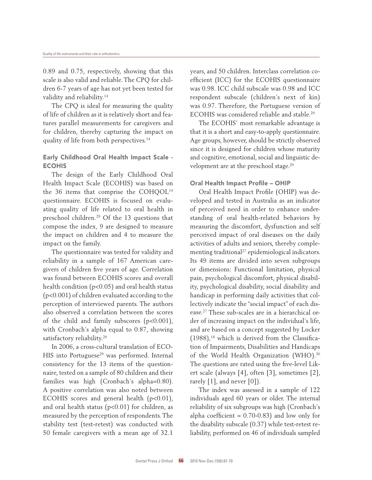0.89 and 0.75, respectively, showing that this scale is also valid and reliable. The CPQ for children 6-7 years of age has not yet been tested for validity and reliability.<sup>14</sup>

The CPQ is ideal for measuring the quality of life of children as it is relatively short and features parallel measurements for caregivers and for children, thereby capturing the impact on quality of life from both perspectives.<sup>14</sup>

# Early Childhood Oral Health Impact Scale - ECOHIS

The design of the Early Childhood Oral Health Impact Scale (ECOHIS) was based on the 36 items that comprise the COHQOL<sup>14</sup> questionnaire. ECOHIS is focused on evaluating quality of life related to oral health in preschool children.<sup>29</sup> Of the 13 questions that compose the index, 9 are designed to measure the impact on children and 4 to measure the impact on the family.

The questionnaire was tested for validity and reliability in a sample of 167 American caregivers of children five years of age. Correlation was found between ECOHIS scores and overall health condition (p<0.05) and oral health status (p<0.001) of children evaluated according to the perception of interviewed parents. The authors also observed a correlation between the scores of the child and family subscores (p<0.001), with Cronbach's alpha equal to 0.87, showing satisfactory reliability.<sup>29</sup>

In 2006, a cross-cultural translation of ECO-HIS into Portuguese<sup>29</sup> was performed. Internal consistency for the 13 items of the questionnaire, tested on a sample of 80 children and their families was high (Cronbach's alpha=0.80). A positive correlation was also noted between ECOHIS scores and general health  $(p<0.01)$ , and oral health status  $(p<0.01)$  for children, as measured by the perception of respondents. The stability test (test-retest) was conducted with 50 female caregivers with a mean age of 32.1

years, and 50 children. Interclass correlation coefficient (ICC) for the ECOHIS questionnaire was 0.98. ICC child subscale was 0.98 and ICC respondent subscale (children's next of kin) was 0.97. Therefore, the Portuguese version of ECOHIS was considered reliable and stable.<sup>29</sup>

The ECOHIS' most remarkable advantage is that it is a short and easy-to-apply questionnaire. Age groups, however, should be strictly observed since it is designed for children whose maturity and cognitive, emotional, social and linguistic development are at the preschool stage.<sup>29</sup>

# Oral Health Impact Profile – OHIP

Oral Health Impact Profile (OHIP) was developed and tested in Australia as an indicator of perceived need in order to enhance understanding of oral health-related behaviors by measuring the discomfort, dysfunction and self perceived impact of oral diseases on the daily activities of adults and seniors, thereby complementing traditional<sup>27</sup> epidemiological indicators. Its 49 items are divided into seven subgroups or dimensions: Functional limitation, physical pain, psychological discomfort, physical disability, psychological disability, social disability and handicap in performing daily activities that collectively indicate the "social impact" of each disease.27 These sub-scales are in a hierarchical order of increasing impact on the individual's life, and are based on a concept suggested by Locker  $(1988)$ ,<sup>18</sup> which is derived from the Classification of Impairments, Disabilities and Handicaps of the World Health Organization (WHO).<sup>30</sup> The questions are rated using the five-level Likert scale (always [4], often [3], sometimes [2], rarely [1], and never [0]).

The index was assessed in a sample of 122 individuals aged 60 years or older. The internal reliability of six subgroups was high (Cronbach's alpha coefficient  $= 0.70 - 0.83$  and low only for the disability subscale (0.37) while test-retest reliability, performed on 46 of individuals sampled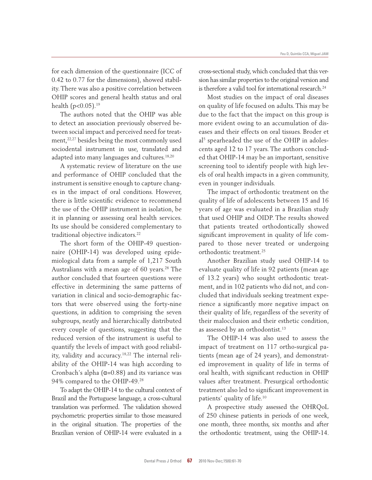for each dimension of the questionnaire (ICC of 0.42 to 0.77 for the dimensions), showed stability. There was also a positive correlation between OHIP scores and general health status and oral health ( $p < 0.05$ ).<sup>19</sup>

The authors noted that the OHIP was able to detect an association previously observed between social impact and perceived need for treatment,<sup>22,27</sup> besides being the most commonly used sociodental instrument in use, translated and adapted into many languages and cultures.<sup>18,20</sup>

A systematic review of literature on the use and performance of OHIP concluded that the instrument is sensitive enough to capture changes in the impact of oral conditions. However, there is little scientific evidence to recommend the use of the OHIP instrument in isolation, be it in planning or assessing oral health services. Its use should be considered complementary to traditional objective indicators.<sup>22</sup>

The short form of the OHIP-49 questionnaire (OHIP-14) was developed using epidemiological data from a sample of 1,217 South Australians with a mean age of 60 years.<sup>28</sup> The author concluded that fourteen questions were effective in determining the same patterns of variation in clinical and socio-demographic factors that were observed using the forty-nine questions, in addition to comprising the seven subgroups, neatly and hierarchically distributed every couple of questions, suggesting that the reduced version of the instrument is useful to quantify the levels of impact with good reliability, validity and accuracy.<sup>18,22</sup> The internal reliability of the OHIP-14 was high according to Cronbach's alpha  $(\alpha=0.88)$  and its variance was 94% compared to the OHIP-49.<sup>28</sup>

To adapt the OHIP-14 to the cultural context of Brazil and the Portuguese language, a cross-cultural translation was performed. The validation showed psychometric properties similar to those measured in the original situation. The properties of the Brazilian version of OHIP-14 were evaluated in a

cross-sectional study, which concluded that this version has similar properties to the original version and is therefore a valid tool for international research.<sup>24</sup>

Most studies on the impact of oral diseases on quality of life focused on adults. This may be due to the fact that the impact on this group is more evident owing to an accumulation of diseases and their effects on oral tissues. Broder et al<sup>5</sup> spearheaded the use of the OHIP in adolescents aged 12 to 17 years. The authors concluded that OHIP-14 may be an important, sensitive screening tool to identify people with high levels of oral health impacts in a given community, even in younger individuals.

The impact of orthodontic treatment on the quality of life of adolescents between 15 and 16 years of age was evaluated in a Brazilian study that used OHIP and OIDP. The results showed that patients treated orthodontically showed significant improvement in quality of life compared to those never treated or undergoing orthodontic treatment.<sup>25</sup>

Another Brazilian study used OHIP-14 to evaluate quality of life in 92 patients (mean age of 13.2 years) who sought orthodontic treatment, and in 102 patients who did not, and concluded that individuals seeking treatment experience a significantly more negative impact on their quality of life, regardless of the severity of their malocclusion and their esthetic condition, as assessed by an orthodontist.<sup>13</sup>

The OHIP-14 was also used to assess the impact of treatment on 117 ortho-surgical patients (mean age of 24 years), and demonstrated improvement in quality of life in terms of oral health, with significant reduction in OHIP values after treatment. Presurgical orthodontic treatment also led to significant improvement in patients' quality of life.<sup>10</sup>

A prospective study assessed the OHRQoL of 250 chinese patients in periods of one week, one month, three months, six months and after the orthodontic treatment, using the OHIP-14.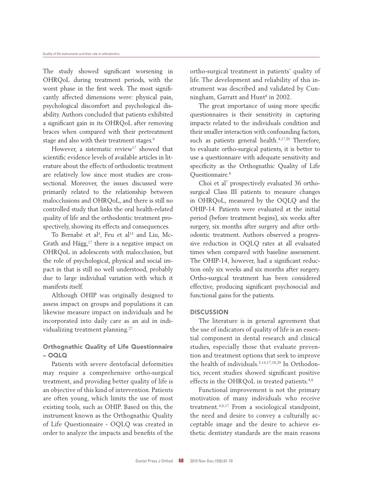The study showed significant worsening in OHRQoL during treatment periods, with the worst phase in the first week. The most significantly affected dimensions were: physical pain, psychological discomfort and psychological disability. Authors concluded that patients exhibited a significant gain in its OHRQoL after removing braces when compared with their pretreatment stage and also with their treatment stages.<sup>6</sup>

However, a sistematic review<sup>17</sup> showed that scientific evidence levels of available articles in literature about the effects of orthodontic treatment are relatively low since most studies are crosssectional. Moreover, the issues discussed were primarily related to the relationship between malocclusions and OHRQoL, and there is still no controlled study that links the oral health-related quality of life and the orthodontic treatment prospectively, showing its effects and consequences.

To Bernabé et al<sup>4</sup>, Feu et al<sup>13</sup> and Liu, Mc-Grath and Hägg,<sup>17</sup> there is a negative impact on OHRQoL in adolescents with malocclusion, but the role of psychological, physical and social impact in that is still no well understood, probably due to large individual variation with which it manifests itself.

Although OHIP was originally designed to assess impact on groups and populations it can likewise measure impact on individuals and be incorporated into daily care as an aid in individualizing treatment planning.<sup>27</sup>

# Orthognathic Quality of Life Questionnaire – OQLQ

Patients with severe dentofacial deformities may require a comprehensive ortho-surgical treatment, and providing better quality of life is an objective of this kind of intervention. Patients are often young, which limits the use of most existing tools, such as OHIP. Based on this, the instrument known as the Orthognathic Quality of Life Questionnaire - OQLQ was created in order to analyze the impacts and benefits of the ortho-surgical treatment in patients' quality of life. The development and reliability of this instrument was described and validated by Cunningham, Garratt and Hunt<sup>s</sup> in 2002.

The great importance of using more specific questionnaires is their sensitivity in capturing impacts related to the individuals condition and their smaller interaction with confounding factors, such as patients general health.<sup>4,17,20</sup> Therefore, to evaluate ortho-surgical patients, it is better to use a questionnaire with adequate sensitivity and specificity as the Orthognathic Quality of Life Ouestionnaire.<sup>8</sup>

Choi et al<sup>7</sup> prospectively evaluated 36 orthosurgical Class III patients to measure changes in OHRQoL, measured by the OQLQ and the OHIP-14. Patients were evaluated at the initial period (before treatment begins), six weeks after surgery, six months after surgery and after orthodontic treatment. Authors observed a progressive reduction in OQLQ rates at all evaluated times when compared with baseline assessment. The OHIP-14, however, had a significant reduction only six weeks and six months after surgery. Ortho-surgical treatment has been considered effective, producing significant psychosocial and functional gains for the patients.

## **DISCUSSION**

The literature is in general agreement that the use of indicators of quality of life is an essential component in dental research and clinical studies, especially those that evaluate prevention and treatment options that seek to improve the health of individuals.3,14,17,18,29 In Orthodontics, recent studies showed significant positive effects in the OHRQoL in treated patients.<sup>4,6</sup>

Functional improvement is not the primary motivation of many individuals who receive treatment.4,6,17 From a sociological standpoint, the need and desire to convey a culturally acceptable image and the desire to achieve esthetic dentistry standards are the main reasons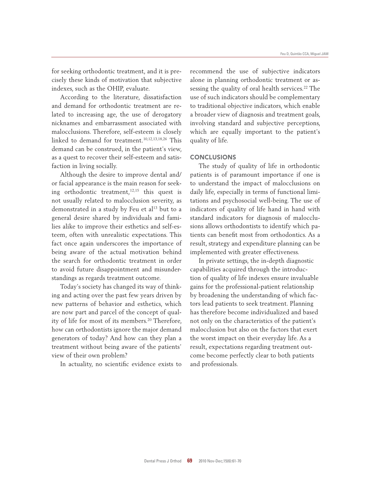for seeking orthodontic treatment, and it is precisely these kinds of motivation that subjective indexes, such as the OHIP, evaluate.

According to the literature, dissatisfaction and demand for orthodontic treatment are related to increasing age, the use of derogatory nicknames and embarrassment associated with malocclusions. Therefore, self-esteem is closely linked to demand for treatment.<sup>10,12,13,18,26</sup> This demand can be construed, in the patient's view, as a quest to recover their self-esteem and satisfaction in living socially.

Although the desire to improve dental and/ or facial appearance is the main reason for seeking orthodontic treatment,<sup>12,15</sup> this quest is not usually related to malocclusion severity, as demonstrated in a study by Feu et al<sup>13</sup> but to a general desire shared by individuals and families alike to improve their esthetics and self-esteem, often with unrealistic expectations. This fact once again underscores the importance of being aware of the actual motivation behind the search for orthodontic treatment in order to avoid future disappointment and misunderstandings as regards treatment outcome.

Today's society has changed its way of thinking and acting over the past few years driven by new patterns of behavior and esthetics, which are now part and parcel of the concept of quality of life for most of its members.<sup>20</sup> Therefore, how can orthodontists ignore the major demand generators of today? And how can they plan a treatment without being aware of the patients' view of their own problem?

In actuality, no scientific evidence exists to

recommend the use of subjective indicators alone in planning orthodontic treatment or assessing the quality of oral health services.<sup>22</sup> The use of such indicators should be complementary to traditional objective indicators, which enable a broader view of diagnosis and treatment goals, involving standard and subjective perceptions, which are equally important to the patient's quality of life.

# **CONCLUSIONS**

The study of quality of life in orthodontic patients is of paramount importance if one is to understand the impact of malocclusions on daily life, especially in terms of functional limitations and psychosocial well-being. The use of indicators of quality of life hand in hand with standard indicators for diagnosis of malocclusions allows orthodontists to identify which patients can benefit most from orthodontics. As a result, strategy and expenditure planning can be implemented with greater effectiveness.

In private settings, the in-depth diagnostic capabilities acquired through the introduction of quality of life indexes ensure invaluable gains for the professional-patient relationship by broadening the understanding of which factors lead patients to seek treatment. Planning has therefore become individualized and based not only on the characteristics of the patient's malocclusion but also on the factors that exert the worst impact on their everyday life. As a result, expectations regarding treatment outcome become perfectly clear to both patients and professionals.